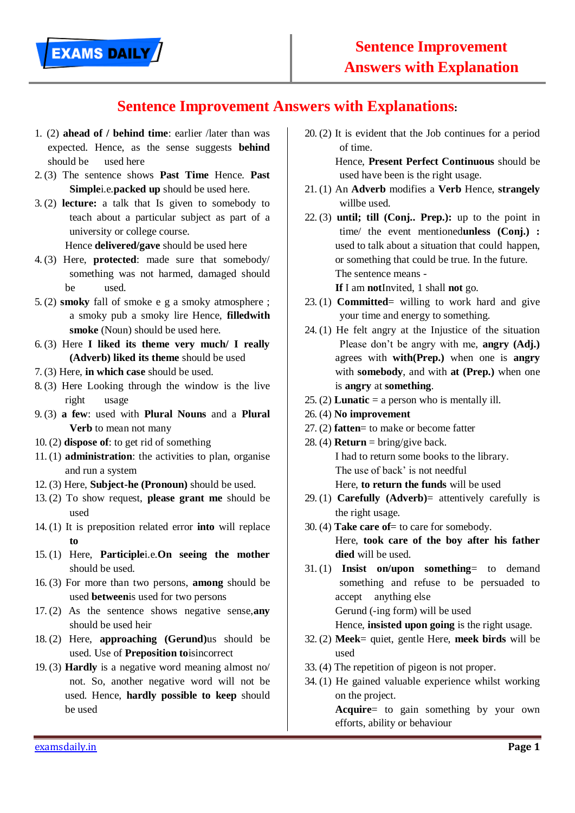## **Sentence Improvement Answers with Explanations:**

- 1. (2) **ahead of / behind time**: earlier /later than was expected. Hence, as the sense suggests **behind** should be used here
- 2. (3) The sentence shows **Past Time** Hence. **Past Simple**i.e.**packed up** should be used here.
- 3. (2) **lecture:** a talk that Is given to somebody to teach about a particular subject as part of a university or college course.

Hence **delivered/gave** should be used here

- 4. (3) Here, **protected**: made sure that somebody/ something was not harmed, damaged should be used.
- 5. (2) **smoky** fall of smoke e g a smoky atmosphere ; a smoky pub a smoky lire Hence, **filledwith smoke** (Noun) should be used here.
- 6. (3) Here **I liked its theme very much/ I really (Adverb) liked its theme** should be used
- 7. (3) Here, **in which case** should be used.
- 8. (3) Here Looking through the window is the live right usage
- 9. (3) **a few**: used with **Plural Nouns** and a **Plural Verb** to mean not many
- 10. (2) **dispose of**: to get rid of something
- 11. (1) **administration**: the activities to plan, organise and run a system
- 12. (3) Here, **Subject-he (Pronoun)** should be used.
- 13. (2) To show request, **please grant me** should be used
- 14. (1) It is preposition related error **into** will replace **to**
- 15. (1) Here, **Participle**i.e.**On seeing the mother** should be used.
- 16. (3) For more than two persons, **among** should be used **between**is used for two persons
- 17. (2) As the sentence shows negative sense,**any** should be used heir
- 18. (2) Here, **approaching (Gerund)**us should be used. Use of **Preposition to**isincorrect
- 19. (3) **Hardly** is a negative word meaning almost no/ not. So, another negative word will not be used. Hence, **hardly possible to keep** should be used

20. (2) It is evident that the Job continues for a period of time.

> Hence, **Present Perfect Continuous** should be used have been is the right usage.

- 21. (1) An **Adverb** modifies a **Verb** Hence, **strangely** willbe used.
- 22. (3) **until; till (Conj.. Prep.):** up to the point in time/ the event mentioned**unless (Conj.) :** used to talk about a situation that could happen, or something that could be true. In the future. The sentence means -

**If** I am **not**Invited, 1 shall **not** go.

- 23. (1) **Committed**= willing to work hard and give your time and energy to something.
- 24. (1) He felt angry at the Injustice of the situation Please don't be angry with me, **angry (Adj.)** agrees with **with(Prep.)** when one is **angry**  with **somebody**, and with **at (Prep.)** when one is **angry** at **something**.
- 25. (2) **Lunatic** = a person who is mentally ill.
- 26. (4) **No improvement**
- 27. (2) **fatten**= to make or become fatter
- 28. (4) **Return** = bring/give back. I had to return some books to the library. The use of back' is not needful Here, **to return the funds** will be used
- 29. (1) **Carefully (Adverb)**= attentively carefully is the right usage.
- 30. (4) **Take care of**= to care for somebody.

Here, **took care of the boy after his father died** will be used.

- 31. (1) **Insist on/upon something**= to demand something and refuse to be persuaded to accept anything else Gerund (-ing form) will be used Hence, **insisted upon going** is the right usage.
- 32. (2) **Meek**= quiet, gentle Here, **meek birds** will be used
- 33. (4) The repetition of pigeon is not proper.
- 34. (1) He gained valuable experience whilst working on the project.

**Acquire**= to gain something by your own efforts, ability or behaviour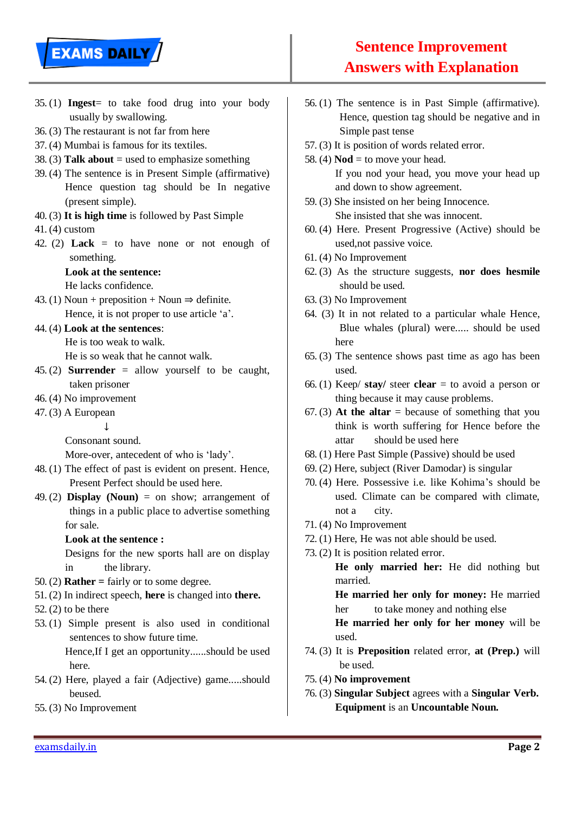# **EXAMS DAILY**

## **Sentence Improvement Answers with Explanation**

- 35. (1) **Ingest**= to take food drug into your body usually by swallowing.
- 36. (3) The restaurant is not far from here
- 37. (4) Mumbai is famous for its textiles.
- 38. (3) **Talk about** = used to emphasize something
- 39. (4) The sentence is in Present Simple (affirmative) Hence question tag should be In negative (present simple).
- 40. (3) **It is high time** is followed by Past Simple
- 41. (4) custom
- 42. (2) **Lack** = to have none or not enough of something.

#### **Look at the sentence:**

He lacks confidence.

- 43. (1) Noun + preposition + Noun  $\Rightarrow$  definite. Hence, it is not proper to use article 'a'.
- 44. (4) **Look at the sentences**:

He is too weak to walk.

He is so weak that he cannot walk.

- 45. (2) **Surrender** = allow yourself to be caught, taken prisoner
- 46. (4) No improvement
- 47. (3) A European

 $\perp$ 

Consonant sound.

More-over, antecedent of who is 'lady'.

- 48. (1) The effect of past is evident on present. Hence, Present Perfect should be used here.
- 49. (2) **Display** (**Noun**) = on show; arrangement of things in a public place to advertise something for sale.

#### **Look at the sentence :**

Designs for the new sports hall are on display in the library.

- 50. (2) **Rather =** fairly or to some degree.
- 51. (2) In indirect speech, **here** is changed into **there.**
- 52. (2) to be there
- 53. (1) Simple present is also used in conditional sentences to show future time.

Hence,If I get an opportunity......should be used here.

- 54. (2) Here, played a fair (Adjective) game.....should beused.
- 55. (3) No Improvement
- 56. (1) The sentence is in Past Simple (affirmative). Hence, question tag should be negative and in Simple past tense
- 57. (3) It is position of words related error.
- 58. (4)  $\textbf{Nod} = \text{to move your head.}$ If you nod your head, you move your head up and down to show agreement.
- 59. (3) She insisted on her being Innocence. She insisted that she was innocent.
- 60. (4) Here. Present Progressive (Active) should be used,not passive voice.
- 61. (4) No Improvement
- 62. (3) As the structure suggests, **nor does hesmile** should be used.
- 63. (3) No Improvement
- 64. (3) It in not related to a particular whale Hence, Blue whales (plural) were..... should be used here
- 65. (3) The sentence shows past time as ago has been used.
- 66. (1) Keep/ **stay/** steer **clear** = to avoid a person or thing because it may cause problems.
- $67. (3)$  At the altar = because of something that you think is worth suffering for Hence before the attar should be used here
- 68. (1) Here Past Simple (Passive) should be used
- 69. (2) Here, subject (River Damodar) is singular
- 70. (4) Here. Possessive i.e. like Kohima's should be used. Climate can be compared with climate, not a city.
- 71. (4) No Improvement
- 72. (1) Here, He was not able should be used.
- 73. (2) It is position related error.

**He only married her:** He did nothing but married.

**He married her only for money:** He married her to take money and nothing else

**He married her only for her money** will be used.

- 74. (3) It is **Preposition** related error, **at (Prep.)** will be used.
- 75. (4) **No improvement**
- 76. (3) **Singular Subject** agrees with a **Singular Verb. Equipment** is an **Uncountable Noun.**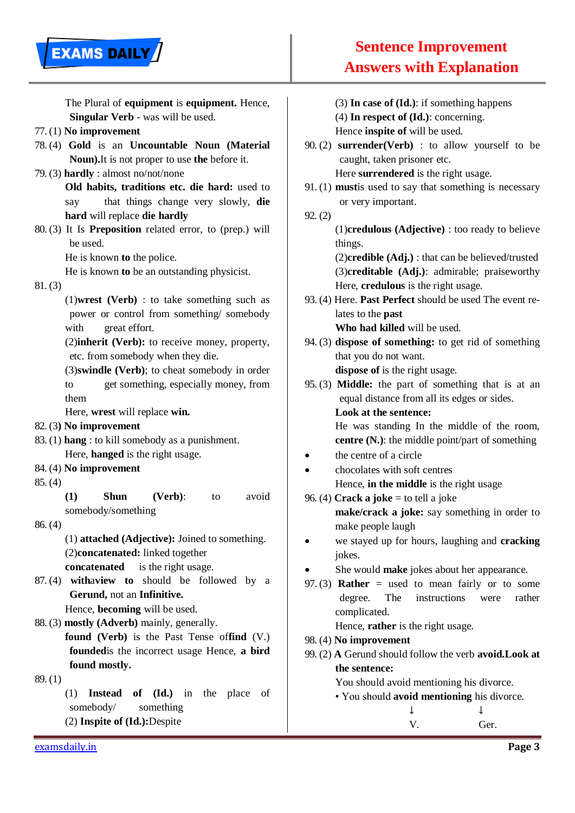| The Plural of equipment is equipment. Hence,             | $(3)$ In case of $(Id.)$ : if something happens           |
|----------------------------------------------------------|-----------------------------------------------------------|
| Singular Verb - was will be used.                        | $(4)$ In respect of $(Id.)$ : concerning.                 |
| $77. (1)$ No improvement                                 | Hence inspite of will be used.                            |
| 78. (4) Gold is an Uncountable Noun (Material            | 90. (2) surrender(Verb) : to allow yourself to be         |
| Noun). It is not proper to use the before it.            | caught, taken prisoner etc.                               |
| 79. (3) hardly : almost no/not/none                      | Here surrendered is the right usage.                      |
| Old habits, traditions etc. die hard: used to            | $91. (1)$ must is used to say that something is necessary |
| that things change very slowly, die<br>say               | or very important.                                        |
| hard will replace die hardly                             | 92. (2)                                                   |
| 80. (3) It Is Preposition related error, to (prep.) will | $(1)$ credulous (Adjective) : too ready to believe        |
| be used.                                                 | things.                                                   |
| He is known to the police.                               | $(2)$ credible $(Adj.)$ : that can be believed/trusted    |
| He is known to be an outstanding physicist.              | (3)creditable (Adj.): admirable; praiseworthy             |
| 81. (3)                                                  | Here, credulous is the right usage.                       |
| $(1)$ wrest (Verb) : to take something such as           | 93. (4) Here. Past Perfect should be used The event re-   |
| power or control from something/somebody                 | lates to the <b>past</b>                                  |
| with<br>great effort.                                    | Who had killed will be used.                              |
| (2) inherit (Verb): to receive money, property,          | 94. (3) dispose of something: to get rid of something     |
| etc. from somebody when they die.                        | that you do not want.                                     |
| (3) swindle (Verb); to cheat somebody in order           | dispose of is the right usage.                            |
| get something, especially money, from<br>to              | 95.(3) Middle: the part of something that is at an        |
| them                                                     | equal distance from all its edges or sides.               |
| Here, wrest will replace win.                            | Look at the sentence:                                     |
| 82. (3) No improvement                                   | He was standing In the middle of the room,                |
| 83. (1) hang : to kill somebody as a punishment.         | centre (N.): the middle point/part of something           |
| Here, hanged is the right usage.                         | the centre of a circle                                    |
| 84. (4) No improvement                                   | chocolates with soft centres                              |
| 85. (4)                                                  | Hence, in the middle is the right usage                   |
| <b>Shun</b><br>(1)<br>(Verb):<br>avoid<br>to             | 96. (4) Crack a joke = to tell a joke                     |
| somebody/something                                       | make/crack a joke: say something in order to              |
| 86. (4)                                                  | make people laugh                                         |
| (1) attached (Adjective): Joined to something.           | we stayed up for hours, laughing and cracking             |
| (2)concatenated: linked together                         | jokes.                                                    |
| is the right usage.<br>concatenated                      | She would <b>make</b> jokes about her appearance.         |
| 87. (4) with aview to should be followed by a            | 97. (3) <b>Rather</b> = used to mean fairly or to some    |
| Gerund, not an Infinitive.                               | The<br>instructions<br>degree.<br>rather<br>were          |
| Hence, becoming will be used.                            | complicated.                                              |
| 88. (3) mostly (Adverb) mainly, generally.               | Hence, rather is the right usage.                         |
| found (Verb) is the Past Tense offind (V.)               | 98. (4) No improvement                                    |
| founded is the incorrect usage Hence, a bird             | 99. (2) A Gerund should follow the verb avoid. Look at    |
| found mostly.                                            | the sentence:                                             |
| 89. (1)                                                  | You should avoid mentioning his divorce.                  |
| of (Id.) in the place<br>(1)<br><b>Instead</b><br>of     | • You should avoid mentioning his divorce.                |
| somebody/<br>something                                   | ↓                                                         |
| (2) Inspite of (Id.): Despite                            | V.<br>Ger.                                                |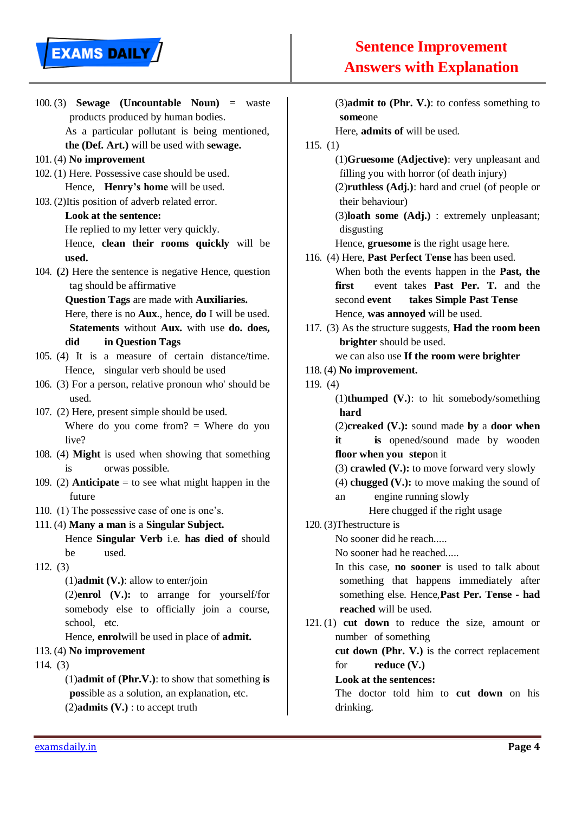

100. (3) **Sewage (Uncountable Noun)** = waste products produced by human bodies. As a particular pollutant is being mentioned, **the (Def. Art.)** will be used with **sewage.** 101. (4) **No improvement** 102. (1) Here. Possessive case should be used. Hence, **Henry's home** will be used. 103. (2)Itis position of adverb related error. **Look at the sentence:** He replied to my letter very quickly. Hence, **clean their rooms quickly** will be **used.** 104. **(**2**)** Here the sentence is negative Hence, question tag should be affirmative **Question Tags** are made with **Auxiliaries.** Here, there is no **Aux**., hence, **do** I will be used. **Statements** without **Aux.** with use **do. does, did in Question Tags** 105. (4) It is a measure of certain distance/time. Hence, singular verb should be used 106. (3) For a person, relative pronoun who' should be used. 107. (2) Here, present simple should be used. Where do you come from?  $=$  Where do you live? 108. (4) **Might** is used when showing that something is orwas possible. 109. (2) **Anticipate**  $=$  to see what might happen in the future 110. (1) The possessive case of one is one's. 111. (4) **Many a man** is a **Singular Subject.** Hence **Singular Verb** i.e. **has died of** should be used. 112. (3) (1)**admit (V.)**: allow to enter/join (2)**enrol (V.):** to arrange for yourself/for somebody else to officially join a course, school, etc. Hence, **enrol**will be used in place of **admit.** 113. (4) **No improvement** 114. (3)

> (1)**admit of (Phr.V.)**: to show that something **is pos**sible as a solution, an explanation, etc. (2)**admits (V.)** : to accept truth

(3)**admit to (Phr. V.)**: to confess something to **some**one

Here, **admits of** will be used.

115. (1)

(1)**Gruesome (Adjective)**: very unpleasant and filling you with horror (of death injury)

(2)**ruthless (Adj.)**: hard and cruel (of people or their behaviour)

(3)**loath some (Adj.)** : extremely unpleasant; disgusting

Hence, **gruesome** is the right usage here.

- 116. (4) Here, **Past Perfect Tense** has been used. When both the events happen in the **Past, the first** event takes **Past Per. T.** and the second **event takes Simple Past Tense** Hence, **was annoyed** will be used.
- 117. (3) As the structure suggests, **Had the room been brighter** should be used.

we can also use **If the room were brighter**

118. (4) **No improvement.**

119. (4)

(1)**thumped (V.)**: to hit somebody/something **hard**

(2)**creaked (V.):** sound made **by** a **door when it is** opened/sound made by wooden **floor when you step**on it

(3) **crawled (V.):** to move forward very slowly

(4) **chugged (V.):** to move making the sound of

an engine running slowly

Here chugged if the right usage

## 120. (3)Thestructure is

No sooner did he reach.....

No sooner had he reached.....

In this case, **no sooner** is used to talk about something that happens immediately after something else. Hence,**Past Per. Tense - had reached** will be used.

- 121. (1) **cut down** to reduce the size, amount or number of something **cut down (Phr. V.)** is the correct replacement
	- for **reduce (V.)**

#### **Look at the sentences:**

The doctor told him to **cut down** on his drinking.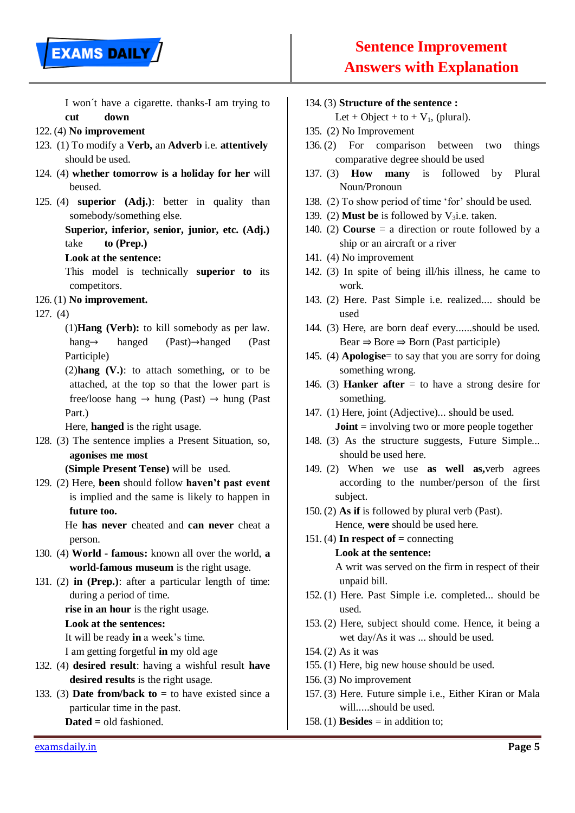

I won´t have a cigarette. thanks-I am trying to **cut down**

#### 122. (4) **No improvement**

- 123. (1) To modify a **Verb,** an **Adverb** i.e. **attentively** should be used.
- 124. (4) **whether tomorrow is a holiday for her** will beused.
- 125. (4) **superior (Adj.)**: better in quality than somebody/something else.

### **Superior, inferior, senior, junior, etc. (Adj.)**  take **to (Prep.)**

#### **Look at the sentence:**

This model is technically **superior to** its competitors.

#### 126. (1) **No improvement.**

#### 127. (4)

(1)**Hang (Verb):** to kill somebody as per law. hang→ hanged (Past)→hanged (Past Participle)

(2)**hang (V.)**: to attach something, or to be attached, at the top so that the lower part is free/loose hang  $\rightarrow$  hung (Past)  $\rightarrow$  hung (Past) Part.)

Here, **hanged** is the right usage.

128. (3) The sentence implies a Present Situation, so, **agonises me most** 

**(Simple Present Tense)** will be used.

129. (2) Here, **been** should follow **haven't past event** is implied and the same is likely to happen in **future too.**

> He **has never** cheated and **can never** cheat a person.

- 130. (4) **World - famous:** known all over the world, **a world-famous museum** is the right usage.
- 131. (2) **in (Prep.)**: after a particular length of time: during a period of time.

**rise in an hour** is the right usage.

#### **Look at the sentences:**

It will be ready **in** a week's time.

I am getting forgetful **in** my old age

- 132. (4) **desired result**: having a wishful result **have desired results** is the right usage.
- 133. (3) **Date from/back to**  $=$  to have existed since a particular time in the past. **Dated =** old fashioned.

#### 134. (3) **Structure of the sentence :**

Let + Object + to +  $V_1$ , (plural).

- 135. (2) No Improvement
- 136. (2) For comparison between two things comparative degree should be used
- 137. (3) **How many** is followed by Plural Noun/Pronoun
- 138. (2) To show period of time 'for' should be used.
- 139. (2) **Must be** is followed by  $V_3$ i.e. taken.
- 140. (2) **Course** = a direction or route followed by a ship or an aircraft or a river
- 141. (4) No improvement
- 142. (3) In spite of being ill/his illness, he came to work.
- 143. (2) Here. Past Simple i.e. realized.... should be used
- 144. (3) Here, are born deaf every......should be used. Bear  $\Rightarrow$  Bore  $\Rightarrow$  Born (Past participle)
- 145. (4) **Apologise**= to say that you are sorry for doing something wrong.
- 146. (3) **Hanker after**  $=$  to have a strong desire for something.
- 147. (1) Here, joint (Adjective)... should be used. **Joint** = involving two or more people together
- 148. (3) As the structure suggests, Future Simple... should be used here.
- 149. (2) When we use **as well as,**verb agrees according to the number/person of the first subject.
- 150. (2) **As if** is followed by plural verb (Past). Hence, **were** should be used here.

## 151. (4) In respect of  $=$  connecting

#### **Look at the sentence:**

A writ was served on the firm in respect of their unpaid bill.

- 152. (1) Here. Past Simple i.e. completed... should be used.
- 153. (2) Here, subject should come. Hence, it being a wet day/As it was ... should be used.
- 154. (2) As it was
- 155. (1) Here, big new house should be used.
- 156. (3) No improvement
- 157. (3) Here. Future simple i.e., Either Kiran or Mala will.....should be used.
- 158. (1) **Besides** = in addition to;